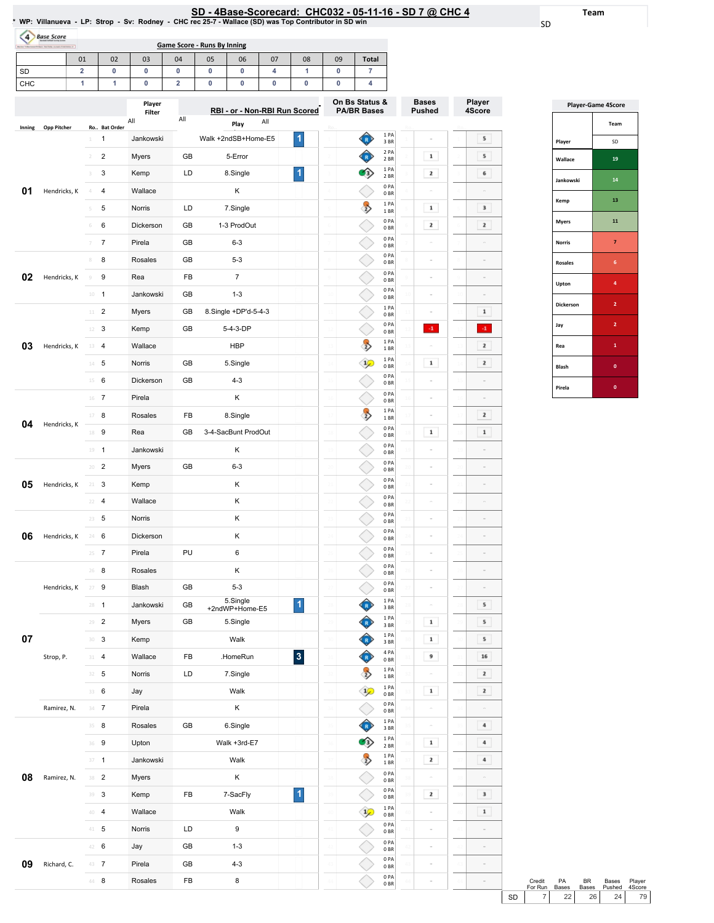SD

Team

Player 4Score

 $5<sub>1</sub>$  $5<sub>1</sub>$  $\overline{\phantom{a}}$ 

 $\overline{\phantom{a}3}$  $\overline{\mathbf{2}}$  $\sim$ 

 $\sim$  $\sim$  $\mathbf{1}^ \langle {\bf 4}\rangle$  $\overline{\mathbf{2}}$  $\mathbf{2}^-$ 

 $\sim$  $\overline{\mathbf{2}}$  $\begin{array}{|c|} \hline \textbf{1} \end{array}$ 

> $\sim$  $\sim$  $\sim$  $\sim$  $\mathcal{L}_{\mathcal{A}}$

 $\overline{\phantom{a}}$  $\boxed{5}$  $\overline{\phantom{a}}$  5 16  $\mathbf{2}^ \mathbf{2}^-$ 

 $\boxed{4}$  $\boxed{4}$  $\begin{array}{|c|} \hline \end{array}$  4

 $\overline{\phantom{a}3}$ 

 $\begin{array}{|c|} \hline \textbf{1} \end{array}$ 

 $\sim$ 

 $\sim$ 

 $\sim$ 

| SD - 4Base-Scorecard: CHC032 - 05-11-16 - SD 7 @ CHC 4<br>* WP: Villanueva - LP: Strop - Sv: Rodney - CHC rec 25-7 - Wallace (SD) was Top Contributor in SD win<br>$\overline{4}$<br><b>Base Score</b><br><b>Game Score - Runs By Inning</b><br>01<br>02<br>03<br>04<br>05<br>07<br>08<br>09<br><b>Total</b><br>06<br>$\overline{\mathbf{2}}$<br>$\overline{7}$<br>0<br>0<br>0<br>0<br>0<br>4<br>1<br>0<br>1<br>1<br>0<br>$\overline{\mathbf{2}}$<br>0<br>0<br>0<br>0<br>0<br>4<br>On Bs Status &<br><b>Bases</b><br>Player<br>RBI - or - Non-RBI Run Scored<br><b>PA/BR Bases</b><br><b>Pushed</b><br>Filter<br>All<br>All<br>All<br>Play<br>Ro Bat Order<br>Opp Pitcher<br>Inning<br>1 PA<br>1<br>Walk +2ndSB+Home-E5<br>1<br>Jankowski<br>R<br>3 BR<br>2 PA<br>$\overline{c}$<br>1<br>$\overline{2}$<br>Myers<br>GB<br>5-Error<br>2 BR<br>1 PA<br>1<br>2<br>3<br>LD<br>8.Single<br>Kemp<br>3<br>2 BR<br>0PA<br>Hendricks, K<br>Wallace<br>Κ<br>4<br>4<br>0BR<br>1PA<br>5<br>LD<br>$\Rightarrow$<br>1<br>Norris<br>7.Single<br>5<br>1 BR<br>0PA<br>2<br>6<br>Dickerson<br>GB<br>1-3 ProdOut<br>6<br>0 <sub>BR</sub><br>0PA<br>$\overline{7}$<br>Pirela<br>GB<br>$6 - 3$<br>0 <sub>BR</sub><br>0PA<br>Rosales<br>8<br>GB<br>$5 - 3$<br>8<br>0BR<br>0PA<br>$\overline{7}$<br>Hendricks, K<br>9<br>Rea<br>FB<br>$\overline{9}$<br>0 <sub>BR</sub><br>0PA<br>$10 - 1$<br>Jankowski<br>GB<br>$1 - 3$<br>0BR<br>1 PA<br>$\overline{2}$<br>GB<br>8.Single +DP'd-5-4-3<br>Myers<br>11<br>0 <sub>BR</sub><br>0PA<br>$\cdot 1$<br>GB<br>5-4-3-DP<br>3<br>Kemp<br>12<br>0 <sub>BR</sub><br>1PA<br>03<br><b>HBP</b><br>$\Rightarrow$<br>Hendricks, K<br>13 4<br>Wallace<br>1BR<br>1 PA<br>Norris<br>GB<br>1<br>$14$ 5<br>$\frac{1}{2}$<br>5.Single<br>14<br>0 <sub>BR</sub><br>0PA<br>Dickerson<br>$4 - 3$<br>$15 \t 6$<br>GB<br>0 <sub>BR</sub><br>0PA<br>Κ<br>16 7<br>Pirela<br>0BR<br>1 PA<br>17 8<br>Rosales<br>FB<br>8.Single<br>$\Rightarrow$<br>1BR<br>Hendricks, K<br>0PA<br>9<br>$\mathbf{1}$<br>Rea<br>GB<br>3-4-SacBunt ProdOut<br>18<br>0 <sub>BR</sub><br>0PA<br>$19 - 1$<br>Jankowski<br>Κ<br>0BR<br>0PA<br>$\overline{2}$<br>GB<br>$6 - 3$<br>Myers<br>20<br>0BR<br>0PA<br>05<br>Κ<br>Hendricks, K<br>3<br>Kemp<br>$21 -$<br>0BR<br>0PA<br>Wallace<br>Κ<br>$\overline{4}$<br>22<br>0 <sub>BR</sub><br>0PA<br>23<br>5<br>Norris<br>κ<br>0BR<br>0PA<br>06<br>Hendricks, K<br>Dickerson<br>κ<br>$24 -$<br>6<br>0B<br>0PA<br>PU<br>Pirela<br>6<br>$25 \t 7$<br>0BR<br>0PA<br>Κ<br>26<br>8<br>Rosales<br>0B<br>0PA<br>$5 - 3$<br>9<br>Blash<br>GB<br>Hendricks, K<br>27<br>0B<br>5.Single<br>1PA<br>$\overline{\mathbf{1}}$<br>$28 - 1$<br>Jankowski<br>GB<br>3BR<br>+2ndWP+Home-E5<br>1PA<br>$\overline{c}$<br>GB<br>5.Single<br>1<br>Myers<br>29<br>3BR<br>1PA<br>07<br>$\mathbf 1$<br>3<br>Kemp<br>Walk<br>30<br>R)<br>3 BR<br>4 PA<br>$\overline{\mathbf{3}}$<br>Wallace<br>FB<br>.HomeRun<br>9<br>Strop, P.<br>4<br>31<br>R)<br>0BR<br>1 PA<br>$\rightarrow$<br>Norris<br>LD<br>7.Single<br>$32 - 5$<br>1 BR<br>1 PA<br>$\mathbf 1$<br>6<br>Walk<br>Jay<br>$\frac{1}{2}$<br>33<br>0 <sub>BR</sub><br>0PA<br>Κ<br>$34 \t 7$<br>Pirela<br>Ramirez, N.<br>0B<br>1PA<br>8<br>Rosales<br>GB<br>6.Single<br>35<br>3 BR<br>1PA<br>๑<br>36 9<br>Upton<br>Walk +3rd-E7<br>$\mathbf 1$<br>2 BR<br>1PA<br>$\overline{1}$<br>Jankowski<br>2<br>37 |         |       |    |          |                         |               |             |   |  |      |
|--------------------------------------------------------------------------------------------------------------------------------------------------------------------------------------------------------------------------------------------------------------------------------------------------------------------------------------------------------------------------------------------------------------------------------------------------------------------------------------------------------------------------------------------------------------------------------------------------------------------------------------------------------------------------------------------------------------------------------------------------------------------------------------------------------------------------------------------------------------------------------------------------------------------------------------------------------------------------------------------------------------------------------------------------------------------------------------------------------------------------------------------------------------------------------------------------------------------------------------------------------------------------------------------------------------------------------------------------------------------------------------------------------------------------------------------------------------------------------------------------------------------------------------------------------------------------------------------------------------------------------------------------------------------------------------------------------------------------------------------------------------------------------------------------------------------------------------------------------------------------------------------------------------------------------------------------------------------------------------------------------------------------------------------------------------------------------------------------------------------------------------------------------------------------------------------------------------------------------------------------------------------------------------------------------------------------------------------------------------------------------------------------------------------------------------------------------------------------------------------------------------------------------------------------------------------------------------------------------------------------------------------------------------------------------------------------------------------------------------------------------------------------------------------------------------------------------------------------------------------------------------------------------------------------------------------------------------------------------------------------------------------------------------------------------------------------------------------------------------------------------------------------------------------------------------------------------------------------------------------------------------------------------------------------------------------------------------------|---------|-------|----|----------|-------------------------|---------------|-------------|---|--|------|
|                                                                                                                                                                                                                                                                                                                                                                                                                                                                                                                                                                                                                                                                                                                                                                                                                                                                                                                                                                                                                                                                                                                                                                                                                                                                                                                                                                                                                                                                                                                                                                                                                                                                                                                                                                                                                                                                                                                                                                                                                                                                                                                                                                                                                                                                                                                                                                                                                                                                                                                                                                                                                                                                                                                                                                                                                                                                                                                                                                                                                                                                                                                                                                                                                                                                                                                                            |         |       |    |          |                         |               |             |   |  |      |
| SD                                                                                                                                                                                                                                                                                                                                                                                                                                                                                                                                                                                                                                                                                                                                                                                                                                                                                                                                                                                                                                                                                                                                                                                                                                                                                                                                                                                                                                                                                                                                                                                                                                                                                                                                                                                                                                                                                                                                                                                                                                                                                                                                                                                                                                                                                                                                                                                                                                                                                                                                                                                                                                                                                                                                                                                                                                                                                                                                                                                                                                                                                                                                                                                                                                                                                                                                         |         |       |    |          |                         |               |             |   |  |      |
| CHC                                                                                                                                                                                                                                                                                                                                                                                                                                                                                                                                                                                                                                                                                                                                                                                                                                                                                                                                                                                                                                                                                                                                                                                                                                                                                                                                                                                                                                                                                                                                                                                                                                                                                                                                                                                                                                                                                                                                                                                                                                                                                                                                                                                                                                                                                                                                                                                                                                                                                                                                                                                                                                                                                                                                                                                                                                                                                                                                                                                                                                                                                                                                                                                                                                                                                                                                        |         |       |    |          |                         |               |             |   |  |      |
|                                                                                                                                                                                                                                                                                                                                                                                                                                                                                                                                                                                                                                                                                                                                                                                                                                                                                                                                                                                                                                                                                                                                                                                                                                                                                                                                                                                                                                                                                                                                                                                                                                                                                                                                                                                                                                                                                                                                                                                                                                                                                                                                                                                                                                                                                                                                                                                                                                                                                                                                                                                                                                                                                                                                                                                                                                                                                                                                                                                                                                                                                                                                                                                                                                                                                                                                            |         |       |    |          |                         |               |             |   |  | Play |
|                                                                                                                                                                                                                                                                                                                                                                                                                                                                                                                                                                                                                                                                                                                                                                                                                                                                                                                                                                                                                                                                                                                                                                                                                                                                                                                                                                                                                                                                                                                                                                                                                                                                                                                                                                                                                                                                                                                                                                                                                                                                                                                                                                                                                                                                                                                                                                                                                                                                                                                                                                                                                                                                                                                                                                                                                                                                                                                                                                                                                                                                                                                                                                                                                                                                                                                                            |         |       |    |          |                         |               |             |   |  | 4Sco |
|                                                                                                                                                                                                                                                                                                                                                                                                                                                                                                                                                                                                                                                                                                                                                                                                                                                                                                                                                                                                                                                                                                                                                                                                                                                                                                                                                                                                                                                                                                                                                                                                                                                                                                                                                                                                                                                                                                                                                                                                                                                                                                                                                                                                                                                                                                                                                                                                                                                                                                                                                                                                                                                                                                                                                                                                                                                                                                                                                                                                                                                                                                                                                                                                                                                                                                                                            |         |       |    |          |                         |               |             |   |  |      |
|                                                                                                                                                                                                                                                                                                                                                                                                                                                                                                                                                                                                                                                                                                                                                                                                                                                                                                                                                                                                                                                                                                                                                                                                                                                                                                                                                                                                                                                                                                                                                                                                                                                                                                                                                                                                                                                                                                                                                                                                                                                                                                                                                                                                                                                                                                                                                                                                                                                                                                                                                                                                                                                                                                                                                                                                                                                                                                                                                                                                                                                                                                                                                                                                                                                                                                                                            |         |       |    |          |                         |               |             |   |  |      |
|                                                                                                                                                                                                                                                                                                                                                                                                                                                                                                                                                                                                                                                                                                                                                                                                                                                                                                                                                                                                                                                                                                                                                                                                                                                                                                                                                                                                                                                                                                                                                                                                                                                                                                                                                                                                                                                                                                                                                                                                                                                                                                                                                                                                                                                                                                                                                                                                                                                                                                                                                                                                                                                                                                                                                                                                                                                                                                                                                                                                                                                                                                                                                                                                                                                                                                                                            |         |       |    |          |                         |               |             |   |  |      |
| 01                                                                                                                                                                                                                                                                                                                                                                                                                                                                                                                                                                                                                                                                                                                                                                                                                                                                                                                                                                                                                                                                                                                                                                                                                                                                                                                                                                                                                                                                                                                                                                                                                                                                                                                                                                                                                                                                                                                                                                                                                                                                                                                                                                                                                                                                                                                                                                                                                                                                                                                                                                                                                                                                                                                                                                                                                                                                                                                                                                                                                                                                                                                                                                                                                                                                                                                                         |         |       |    |          |                         |               |             |   |  |      |
|                                                                                                                                                                                                                                                                                                                                                                                                                                                                                                                                                                                                                                                                                                                                                                                                                                                                                                                                                                                                                                                                                                                                                                                                                                                                                                                                                                                                                                                                                                                                                                                                                                                                                                                                                                                                                                                                                                                                                                                                                                                                                                                                                                                                                                                                                                                                                                                                                                                                                                                                                                                                                                                                                                                                                                                                                                                                                                                                                                                                                                                                                                                                                                                                                                                                                                                                            |         |       |    |          |                         |               |             |   |  |      |
|                                                                                                                                                                                                                                                                                                                                                                                                                                                                                                                                                                                                                                                                                                                                                                                                                                                                                                                                                                                                                                                                                                                                                                                                                                                                                                                                                                                                                                                                                                                                                                                                                                                                                                                                                                                                                                                                                                                                                                                                                                                                                                                                                                                                                                                                                                                                                                                                                                                                                                                                                                                                                                                                                                                                                                                                                                                                                                                                                                                                                                                                                                                                                                                                                                                                                                                                            |         |       |    |          |                         |               |             |   |  |      |
|                                                                                                                                                                                                                                                                                                                                                                                                                                                                                                                                                                                                                                                                                                                                                                                                                                                                                                                                                                                                                                                                                                                                                                                                                                                                                                                                                                                                                                                                                                                                                                                                                                                                                                                                                                                                                                                                                                                                                                                                                                                                                                                                                                                                                                                                                                                                                                                                                                                                                                                                                                                                                                                                                                                                                                                                                                                                                                                                                                                                                                                                                                                                                                                                                                                                                                                                            |         |       |    |          |                         |               |             |   |  |      |
|                                                                                                                                                                                                                                                                                                                                                                                                                                                                                                                                                                                                                                                                                                                                                                                                                                                                                                                                                                                                                                                                                                                                                                                                                                                                                                                                                                                                                                                                                                                                                                                                                                                                                                                                                                                                                                                                                                                                                                                                                                                                                                                                                                                                                                                                                                                                                                                                                                                                                                                                                                                                                                                                                                                                                                                                                                                                                                                                                                                                                                                                                                                                                                                                                                                                                                                                            |         |       |    |          |                         |               |             |   |  |      |
| 02                                                                                                                                                                                                                                                                                                                                                                                                                                                                                                                                                                                                                                                                                                                                                                                                                                                                                                                                                                                                                                                                                                                                                                                                                                                                                                                                                                                                                                                                                                                                                                                                                                                                                                                                                                                                                                                                                                                                                                                                                                                                                                                                                                                                                                                                                                                                                                                                                                                                                                                                                                                                                                                                                                                                                                                                                                                                                                                                                                                                                                                                                                                                                                                                                                                                                                                                         |         |       |    |          |                         |               |             |   |  |      |
|                                                                                                                                                                                                                                                                                                                                                                                                                                                                                                                                                                                                                                                                                                                                                                                                                                                                                                                                                                                                                                                                                                                                                                                                                                                                                                                                                                                                                                                                                                                                                                                                                                                                                                                                                                                                                                                                                                                                                                                                                                                                                                                                                                                                                                                                                                                                                                                                                                                                                                                                                                                                                                                                                                                                                                                                                                                                                                                                                                                                                                                                                                                                                                                                                                                                                                                                            |         |       |    |          |                         |               |             |   |  |      |
|                                                                                                                                                                                                                                                                                                                                                                                                                                                                                                                                                                                                                                                                                                                                                                                                                                                                                                                                                                                                                                                                                                                                                                                                                                                                                                                                                                                                                                                                                                                                                                                                                                                                                                                                                                                                                                                                                                                                                                                                                                                                                                                                                                                                                                                                                                                                                                                                                                                                                                                                                                                                                                                                                                                                                                                                                                                                                                                                                                                                                                                                                                                                                                                                                                                                                                                                            |         |       |    |          |                         |               |             |   |  |      |
|                                                                                                                                                                                                                                                                                                                                                                                                                                                                                                                                                                                                                                                                                                                                                                                                                                                                                                                                                                                                                                                                                                                                                                                                                                                                                                                                                                                                                                                                                                                                                                                                                                                                                                                                                                                                                                                                                                                                                                                                                                                                                                                                                                                                                                                                                                                                                                                                                                                                                                                                                                                                                                                                                                                                                                                                                                                                                                                                                                                                                                                                                                                                                                                                                                                                                                                                            |         |       |    |          |                         |               |             |   |  |      |
|                                                                                                                                                                                                                                                                                                                                                                                                                                                                                                                                                                                                                                                                                                                                                                                                                                                                                                                                                                                                                                                                                                                                                                                                                                                                                                                                                                                                                                                                                                                                                                                                                                                                                                                                                                                                                                                                                                                                                                                                                                                                                                                                                                                                                                                                                                                                                                                                                                                                                                                                                                                                                                                                                                                                                                                                                                                                                                                                                                                                                                                                                                                                                                                                                                                                                                                                            |         |       |    |          |                         |               |             |   |  |      |
|                                                                                                                                                                                                                                                                                                                                                                                                                                                                                                                                                                                                                                                                                                                                                                                                                                                                                                                                                                                                                                                                                                                                                                                                                                                                                                                                                                                                                                                                                                                                                                                                                                                                                                                                                                                                                                                                                                                                                                                                                                                                                                                                                                                                                                                                                                                                                                                                                                                                                                                                                                                                                                                                                                                                                                                                                                                                                                                                                                                                                                                                                                                                                                                                                                                                                                                                            |         |       |    |          |                         |               |             |   |  |      |
|                                                                                                                                                                                                                                                                                                                                                                                                                                                                                                                                                                                                                                                                                                                                                                                                                                                                                                                                                                                                                                                                                                                                                                                                                                                                                                                                                                                                                                                                                                                                                                                                                                                                                                                                                                                                                                                                                                                                                                                                                                                                                                                                                                                                                                                                                                                                                                                                                                                                                                                                                                                                                                                                                                                                                                                                                                                                                                                                                                                                                                                                                                                                                                                                                                                                                                                                            |         |       |    |          |                         |               |             |   |  |      |
|                                                                                                                                                                                                                                                                                                                                                                                                                                                                                                                                                                                                                                                                                                                                                                                                                                                                                                                                                                                                                                                                                                                                                                                                                                                                                                                                                                                                                                                                                                                                                                                                                                                                                                                                                                                                                                                                                                                                                                                                                                                                                                                                                                                                                                                                                                                                                                                                                                                                                                                                                                                                                                                                                                                                                                                                                                                                                                                                                                                                                                                                                                                                                                                                                                                                                                                                            |         |       |    |          |                         |               |             |   |  |      |
|                                                                                                                                                                                                                                                                                                                                                                                                                                                                                                                                                                                                                                                                                                                                                                                                                                                                                                                                                                                                                                                                                                                                                                                                                                                                                                                                                                                                                                                                                                                                                                                                                                                                                                                                                                                                                                                                                                                                                                                                                                                                                                                                                                                                                                                                                                                                                                                                                                                                                                                                                                                                                                                                                                                                                                                                                                                                                                                                                                                                                                                                                                                                                                                                                                                                                                                                            |         |       |    |          |                         |               |             |   |  |      |
| 04                                                                                                                                                                                                                                                                                                                                                                                                                                                                                                                                                                                                                                                                                                                                                                                                                                                                                                                                                                                                                                                                                                                                                                                                                                                                                                                                                                                                                                                                                                                                                                                                                                                                                                                                                                                                                                                                                                                                                                                                                                                                                                                                                                                                                                                                                                                                                                                                                                                                                                                                                                                                                                                                                                                                                                                                                                                                                                                                                                                                                                                                                                                                                                                                                                                                                                                                         |         |       |    |          |                         |               |             |   |  |      |
|                                                                                                                                                                                                                                                                                                                                                                                                                                                                                                                                                                                                                                                                                                                                                                                                                                                                                                                                                                                                                                                                                                                                                                                                                                                                                                                                                                                                                                                                                                                                                                                                                                                                                                                                                                                                                                                                                                                                                                                                                                                                                                                                                                                                                                                                                                                                                                                                                                                                                                                                                                                                                                                                                                                                                                                                                                                                                                                                                                                                                                                                                                                                                                                                                                                                                                                                            |         |       |    |          |                         |               |             |   |  |      |
|                                                                                                                                                                                                                                                                                                                                                                                                                                                                                                                                                                                                                                                                                                                                                                                                                                                                                                                                                                                                                                                                                                                                                                                                                                                                                                                                                                                                                                                                                                                                                                                                                                                                                                                                                                                                                                                                                                                                                                                                                                                                                                                                                                                                                                                                                                                                                                                                                                                                                                                                                                                                                                                                                                                                                                                                                                                                                                                                                                                                                                                                                                                                                                                                                                                                                                                                            |         |       |    |          |                         |               |             |   |  |      |
|                                                                                                                                                                                                                                                                                                                                                                                                                                                                                                                                                                                                                                                                                                                                                                                                                                                                                                                                                                                                                                                                                                                                                                                                                                                                                                                                                                                                                                                                                                                                                                                                                                                                                                                                                                                                                                                                                                                                                                                                                                                                                                                                                                                                                                                                                                                                                                                                                                                                                                                                                                                                                                                                                                                                                                                                                                                                                                                                                                                                                                                                                                                                                                                                                                                                                                                                            |         |       |    |          |                         |               |             |   |  |      |
|                                                                                                                                                                                                                                                                                                                                                                                                                                                                                                                                                                                                                                                                                                                                                                                                                                                                                                                                                                                                                                                                                                                                                                                                                                                                                                                                                                                                                                                                                                                                                                                                                                                                                                                                                                                                                                                                                                                                                                                                                                                                                                                                                                                                                                                                                                                                                                                                                                                                                                                                                                                                                                                                                                                                                                                                                                                                                                                                                                                                                                                                                                                                                                                                                                                                                                                                            |         |       |    |          |                         |               |             |   |  |      |
|                                                                                                                                                                                                                                                                                                                                                                                                                                                                                                                                                                                                                                                                                                                                                                                                                                                                                                                                                                                                                                                                                                                                                                                                                                                                                                                                                                                                                                                                                                                                                                                                                                                                                                                                                                                                                                                                                                                                                                                                                                                                                                                                                                                                                                                                                                                                                                                                                                                                                                                                                                                                                                                                                                                                                                                                                                                                                                                                                                                                                                                                                                                                                                                                                                                                                                                                            |         |       |    |          |                         |               |             |   |  |      |
|                                                                                                                                                                                                                                                                                                                                                                                                                                                                                                                                                                                                                                                                                                                                                                                                                                                                                                                                                                                                                                                                                                                                                                                                                                                                                                                                                                                                                                                                                                                                                                                                                                                                                                                                                                                                                                                                                                                                                                                                                                                                                                                                                                                                                                                                                                                                                                                                                                                                                                                                                                                                                                                                                                                                                                                                                                                                                                                                                                                                                                                                                                                                                                                                                                                                                                                                            |         |       |    |          |                         |               |             |   |  |      |
|                                                                                                                                                                                                                                                                                                                                                                                                                                                                                                                                                                                                                                                                                                                                                                                                                                                                                                                                                                                                                                                                                                                                                                                                                                                                                                                                                                                                                                                                                                                                                                                                                                                                                                                                                                                                                                                                                                                                                                                                                                                                                                                                                                                                                                                                                                                                                                                                                                                                                                                                                                                                                                                                                                                                                                                                                                                                                                                                                                                                                                                                                                                                                                                                                                                                                                                                            |         |       |    |          |                         |               |             |   |  |      |
|                                                                                                                                                                                                                                                                                                                                                                                                                                                                                                                                                                                                                                                                                                                                                                                                                                                                                                                                                                                                                                                                                                                                                                                                                                                                                                                                                                                                                                                                                                                                                                                                                                                                                                                                                                                                                                                                                                                                                                                                                                                                                                                                                                                                                                                                                                                                                                                                                                                                                                                                                                                                                                                                                                                                                                                                                                                                                                                                                                                                                                                                                                                                                                                                                                                                                                                                            |         |       |    |          |                         |               |             |   |  |      |
|                                                                                                                                                                                                                                                                                                                                                                                                                                                                                                                                                                                                                                                                                                                                                                                                                                                                                                                                                                                                                                                                                                                                                                                                                                                                                                                                                                                                                                                                                                                                                                                                                                                                                                                                                                                                                                                                                                                                                                                                                                                                                                                                                                                                                                                                                                                                                                                                                                                                                                                                                                                                                                                                                                                                                                                                                                                                                                                                                                                                                                                                                                                                                                                                                                                                                                                                            |         |       |    |          |                         |               |             |   |  |      |
|                                                                                                                                                                                                                                                                                                                                                                                                                                                                                                                                                                                                                                                                                                                                                                                                                                                                                                                                                                                                                                                                                                                                                                                                                                                                                                                                                                                                                                                                                                                                                                                                                                                                                                                                                                                                                                                                                                                                                                                                                                                                                                                                                                                                                                                                                                                                                                                                                                                                                                                                                                                                                                                                                                                                                                                                                                                                                                                                                                                                                                                                                                                                                                                                                                                                                                                                            |         |       |    |          |                         |               |             |   |  |      |
|                                                                                                                                                                                                                                                                                                                                                                                                                                                                                                                                                                                                                                                                                                                                                                                                                                                                                                                                                                                                                                                                                                                                                                                                                                                                                                                                                                                                                                                                                                                                                                                                                                                                                                                                                                                                                                                                                                                                                                                                                                                                                                                                                                                                                                                                                                                                                                                                                                                                                                                                                                                                                                                                                                                                                                                                                                                                                                                                                                                                                                                                                                                                                                                                                                                                                                                                            |         |       |    |          |                         |               |             |   |  |      |
|                                                                                                                                                                                                                                                                                                                                                                                                                                                                                                                                                                                                                                                                                                                                                                                                                                                                                                                                                                                                                                                                                                                                                                                                                                                                                                                                                                                                                                                                                                                                                                                                                                                                                                                                                                                                                                                                                                                                                                                                                                                                                                                                                                                                                                                                                                                                                                                                                                                                                                                                                                                                                                                                                                                                                                                                                                                                                                                                                                                                                                                                                                                                                                                                                                                                                                                                            |         |       |    |          |                         |               |             |   |  |      |
|                                                                                                                                                                                                                                                                                                                                                                                                                                                                                                                                                                                                                                                                                                                                                                                                                                                                                                                                                                                                                                                                                                                                                                                                                                                                                                                                                                                                                                                                                                                                                                                                                                                                                                                                                                                                                                                                                                                                                                                                                                                                                                                                                                                                                                                                                                                                                                                                                                                                                                                                                                                                                                                                                                                                                                                                                                                                                                                                                                                                                                                                                                                                                                                                                                                                                                                                            |         |       |    |          |                         |               |             |   |  |      |
|                                                                                                                                                                                                                                                                                                                                                                                                                                                                                                                                                                                                                                                                                                                                                                                                                                                                                                                                                                                                                                                                                                                                                                                                                                                                                                                                                                                                                                                                                                                                                                                                                                                                                                                                                                                                                                                                                                                                                                                                                                                                                                                                                                                                                                                                                                                                                                                                                                                                                                                                                                                                                                                                                                                                                                                                                                                                                                                                                                                                                                                                                                                                                                                                                                                                                                                                            |         |       |    |          |                         |               |             |   |  |      |
|                                                                                                                                                                                                                                                                                                                                                                                                                                                                                                                                                                                                                                                                                                                                                                                                                                                                                                                                                                                                                                                                                                                                                                                                                                                                                                                                                                                                                                                                                                                                                                                                                                                                                                                                                                                                                                                                                                                                                                                                                                                                                                                                                                                                                                                                                                                                                                                                                                                                                                                                                                                                                                                                                                                                                                                                                                                                                                                                                                                                                                                                                                                                                                                                                                                                                                                                            |         |       |    |          |                         |               |             |   |  |      |
|                                                                                                                                                                                                                                                                                                                                                                                                                                                                                                                                                                                                                                                                                                                                                                                                                                                                                                                                                                                                                                                                                                                                                                                                                                                                                                                                                                                                                                                                                                                                                                                                                                                                                                                                                                                                                                                                                                                                                                                                                                                                                                                                                                                                                                                                                                                                                                                                                                                                                                                                                                                                                                                                                                                                                                                                                                                                                                                                                                                                                                                                                                                                                                                                                                                                                                                                            |         |       |    |          |                         |               |             |   |  |      |
|                                                                                                                                                                                                                                                                                                                                                                                                                                                                                                                                                                                                                                                                                                                                                                                                                                                                                                                                                                                                                                                                                                                                                                                                                                                                                                                                                                                                                                                                                                                                                                                                                                                                                                                                                                                                                                                                                                                                                                                                                                                                                                                                                                                                                                                                                                                                                                                                                                                                                                                                                                                                                                                                                                                                                                                                                                                                                                                                                                                                                                                                                                                                                                                                                                                                                                                                            |         |       |    |          |                         |               |             |   |  |      |
|                                                                                                                                                                                                                                                                                                                                                                                                                                                                                                                                                                                                                                                                                                                                                                                                                                                                                                                                                                                                                                                                                                                                                                                                                                                                                                                                                                                                                                                                                                                                                                                                                                                                                                                                                                                                                                                                                                                                                                                                                                                                                                                                                                                                                                                                                                                                                                                                                                                                                                                                                                                                                                                                                                                                                                                                                                                                                                                                                                                                                                                                                                                                                                                                                                                                                                                                            |         |       |    |          |                         |               |             |   |  |      |
|                                                                                                                                                                                                                                                                                                                                                                                                                                                                                                                                                                                                                                                                                                                                                                                                                                                                                                                                                                                                                                                                                                                                                                                                                                                                                                                                                                                                                                                                                                                                                                                                                                                                                                                                                                                                                                                                                                                                                                                                                                                                                                                                                                                                                                                                                                                                                                                                                                                                                                                                                                                                                                                                                                                                                                                                                                                                                                                                                                                                                                                                                                                                                                                                                                                                                                                                            |         |       |    |          |                         |               |             |   |  |      |
|                                                                                                                                                                                                                                                                                                                                                                                                                                                                                                                                                                                                                                                                                                                                                                                                                                                                                                                                                                                                                                                                                                                                                                                                                                                                                                                                                                                                                                                                                                                                                                                                                                                                                                                                                                                                                                                                                                                                                                                                                                                                                                                                                                                                                                                                                                                                                                                                                                                                                                                                                                                                                                                                                                                                                                                                                                                                                                                                                                                                                                                                                                                                                                                                                                                                                                                                            |         |       |    | Walk     |                         | $\Rightarrow$ | 1BR<br>0PA  |   |  |      |
| 08<br>Ramirez, N.                                                                                                                                                                                                                                                                                                                                                                                                                                                                                                                                                                                                                                                                                                                                                                                                                                                                                                                                                                                                                                                                                                                                                                                                                                                                                                                                                                                                                                                                                                                                                                                                                                                                                                                                                                                                                                                                                                                                                                                                                                                                                                                                                                                                                                                                                                                                                                                                                                                                                                                                                                                                                                                                                                                                                                                                                                                                                                                                                                                                                                                                                                                                                                                                                                                                                                                          | 38 2    | Myers |    | κ        |                         |               | 0 BR<br>0PA |   |  |      |
|                                                                                                                                                                                                                                                                                                                                                                                                                                                                                                                                                                                                                                                                                                                                                                                                                                                                                                                                                                                                                                                                                                                                                                                                                                                                                                                                                                                                                                                                                                                                                                                                                                                                                                                                                                                                                                                                                                                                                                                                                                                                                                                                                                                                                                                                                                                                                                                                                                                                                                                                                                                                                                                                                                                                                                                                                                                                                                                                                                                                                                                                                                                                                                                                                                                                                                                                            | 39<br>3 | Kemp  | FB | 7-SacFly | $\overline{\mathbf{1}}$ |               | 0BR         | 2 |  |      |

40 4 Wallace Walk 41 5 Norris LD 9

42 6 Jay GB 1-3

44 **8** Rosales FB 8

Pirela GB 4-3

1PA 0BR 0PA 0BR 0PA 0BR 0PA 0BR 0PA 0BR

 $\Diamond$ 

 $\Diamond$  $\Diamond$ 

◇

 $\sim$ 

 $\sim$ 

 $\sim$ 

 $\sim$ 

**09** Richard, C. 43 7

|                  | <b>Player-Game 4Score</b> |
|------------------|---------------------------|
|                  | Team                      |
| Player           | SD                        |
| Wallace          | 19                        |
| Jankowski        | 14                        |
| Kemp             | 13                        |
| <b>Myers</b>     | 11                        |
| <b>Norris</b>    | $\overline{7}$            |
| <b>Rosales</b>   | 6                         |
| Upton            | 4                         |
| <b>Dickerson</b> | $\overline{2}$            |
| Jay              | $\overline{2}$            |
| Rea              | $\mathbf{1}$              |
| Blash            | $\bf{0}$                  |
| Pirela           | $\mathbf 0$               |

|    | Credit<br>For Run | <b>PA</b><br><b>Bases</b> | RR. | Bases<br>Bases Pushed 4Score | Player |  |
|----|-------------------|---------------------------|-----|------------------------------|--------|--|
| SD |                   | 221                       | 26  | 24                           | 79     |  |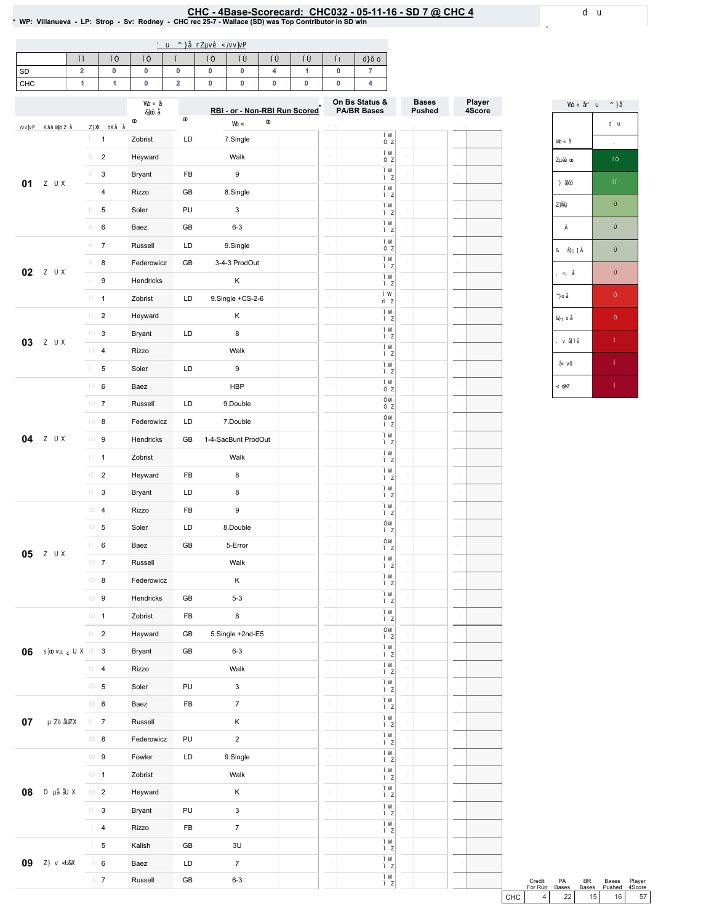|                   |                 |             |                                          |              | ' u ^ } OEr Zuv• C/vv]vP |                            |                      |    |    |                                                        |         |       |
|-------------------|-----------------|-------------|------------------------------------------|--------------|--------------------------|----------------------------|----------------------|----|----|--------------------------------------------------------|---------|-------|
|                   | ìí              | ìî          | ìï                                       | ìð           | ìñ                       | ìò                         | ìó                   | ìô | ìõ | d}šo                                                   |         |       |
| 6'<br>$8 + 8$     |                 |             |                                          |              |                          |                            |                      |    |    |                                                        |         |       |
|                   |                 |             |                                          |              |                          |                            |                      |    |    | 2 Q%V 6 WMXV                                           | %DVHV   | 30 NU |
|                   |                 |             | Wb Ç Œ<br>8]oš OE                        | $^\circledR$ |                          | 5% RU 1 RQ 5% 5 XQ 6 FRUHG |                      |    |    | 3\$ %5 %DVHV                                           | 3 XVKHG | 6FRUH |
| /vv]vP K‰WjšZ0E   |                 | Z} XX ŠKŒ C | $\pmb{\circledcirc}$                     |              |                          | WoÇ                        | $\pmb{\circledcirc}$ |    |    | í W                                                    |         |       |
|                   | í.              |             | $=$ REUMV                                | $\prime$ '   |                          | 61QJ <del>01</del>         |                      |    |    | $i$ Z<br>í W                                           |         |       |
|                   | -î              |             | $+HZDIG$                                 |              |                          | $:$ DON                    |                      |    |    | î Z<br>ì W                                             |         |       |
| Z UX              | Ť.              |             | <b>%UDOW</b>                             |              | ) %                      |                            |                      |    |    | i Z<br>í W                                             |         |       |
|                   | ð               |             | $5$ <sup><math>\uparrow</math></sup> $R$ |              | * $%$                    | $61QJ$ $O$                 |                      |    |    | i Z<br>i W                                             |         |       |
|                   | ñ               |             | 6ROHU                                    | 38           |                          |                            |                      |    |    | i Z                                                    |         |       |
|                   | ò               |             | %DHJ                                     |              | * $%$                    |                            |                      |    |    | i W<br>i Z                                             |         |       |
|                   | ó               |             | 5 XVVHO                                  | $\prime$ .   |                          | $61QJ$ $O$                 |                      |    |    | í W<br>$i$ Z                                           |         |       |
| Z UX              | ô               |             | ) HGHJRZ LF]                             |              | $*$ %                    | 3 URG2 XW                  |                      |    |    | ì W<br>$i$ Z                                           |         |       |
|                   | õ               |             | + HOGUENV                                |              |                          | $\sim$                     |                      |    |    | i W<br>$i$ Z                                           |         |       |
|                   | $\lceil \rceil$ |             | $=$ REUMV                                | $\prime$ .   |                          | 6 IQJ 0H & 6               |                      |    |    | í W<br>rí Z                                            |         |       |
|                   | íí              |             | $+HZDUS$                                 |              |                          | $\cdot$                    |                      |    |    | i W<br>i Z                                             |         |       |
| Z UX              | $-11$           |             | <b>%UDOW</b>                             | $\prime$ '   |                          |                            |                      |    |    | ì W<br>i Z                                             |         |       |
|                   | íï              |             | 54]R                                     |              |                          | $:$ DON                    |                      |    |    | í W<br>i Z                                             |         |       |
|                   | íŏ              |             | 6 ROIU                                   | $\prime$ '   |                          |                            |                      |    |    | i W<br>i Z                                             |         |       |
|                   | íñ              |             | %DH                                      |              |                          | $+ \%3$                    |                      |    |    | i W<br>ï Z                                             |         |       |
|                   | íò              |             | 5 XVVHO                                  | $\prime$ '   |                          | ' RXE®                     |                      |    |    | îW<br>î Z                                              |         |       |
|                   | íó              |             | ) HGHJRZ LF]                             | $\prime$ '   |                          | ' RXE®                     |                      |    |    | îW<br>í Z                                              |         |       |
| Z UX              | íô              |             | + HOGUENV                                |              | * %                      | 6 DF%XQ/8 URG2 XW          |                      |    |    | ì W<br>$i$ Z                                           |         |       |
|                   | íõ              |             | $=$ REUMV                                |              |                          | $:$ DON                    |                      |    |    | í W<br>$i$ $z$                                         |         |       |
|                   | ÎΪ              |             | $+HZDUS$                                 |              | ) %                      |                            |                      |    |    | ì W<br>$i$ Z                                           |         |       |
|                   | îí              |             | %UDQW                                    | $\prime$ .   |                          |                            |                      |    |    | ì W<br>i Z                                             |         |       |
|                   | îî              |             | $5 \text{ H}$ R                          |              | ) %                      |                            |                      |    |    | ì W<br>i Z                                             |         |       |
|                   | ÎΪ              |             | 6ROHU                                    | $\prime$ '   |                          | ' RXE®                     |                      |    |    | îW<br>í Z                                              |         |       |
|                   | îŏ              |             | %DH                                      |              | * $%$                    | $($ URU                    |                      |    |    | îW<br>i Z                                              |         |       |
| Z UX              | îñ              |             | 5 XVMO                                   |              |                          | $\therefore$ DON           |                      |    |    | $\begin{smallmatrix} i & W \\ i & Z \end{smallmatrix}$ |         |       |
|                   | îò              |             | ) HGHJRZ LF]                             |              |                          | ¥,                         |                      |    |    | ì W<br>$i$ Z                                           |         |       |
|                   | îó              |             | + HQGUENV                                |              | * %                      |                            |                      |    |    | ì W<br>ì Z                                             |         |       |
|                   | îô              |             | $=$ REUMV                                |              | ) %                      |                            |                      |    |    | ì W                                                    |         |       |
|                   | ÎÕ              |             | $+HZDUS$                                 |              | * %                      | $61QJ$ $6H$ $QG$ (         |                      |    |    | $i$ Z<br>î W                                           |         |       |
| s]oovµÀUX ï       |                 |             | <b>%UDOW</b>                             |              | * %                      |                            |                      |    |    | $i$ Z<br>ì W                                           |         |       |
|                   | ΪÍ              |             | 5 L ] R                                  |              |                          | : DON                      |                      |    |    | ì Z<br>í W                                             |         |       |
|                   | ΪÎ              |             | 6 ROHU                                   | 38           |                          |                            |                      |    |    | ì Z<br>ì W                                             |         |       |
|                   | $-11$           |             | %DHJ                                     |              | ) %                      |                            |                      |    |    | ì Z<br>ì W                                             |         |       |
| μ Zš OEZX         | ïð              |             | 5 XVMO                                   |              |                          |                            |                      |    |    | ì Z<br>$\begin{array}{c} i & W \\ i & Z \end{array}$   |         |       |
|                   | Ϊñ              |             | ) HGHJRZ LF]                             | 38           |                          | $\cdot$                    |                      |    |    | ì W                                                    |         |       |
|                   | Ϊò              |             | ) RZ ONU                                 | $\prime$ '   |                          | $61QJ$ $\Theta$            |                      |    |    | $i$ Z<br>í W                                           |         |       |
|                   | ïó              |             | $=$ REUMV                                |              |                          | $:$ DON                    |                      |    |    | $i$ Z<br>í W                                           |         |       |
|                   |                 |             |                                          |              |                          |                            |                      |    |    | $i$ Z<br>i W                                           |         |       |
| $D \mu$ CECIB $X$ | ïô              |             | $+HZDUS$                                 |              |                          | $\epsilon$                 |                      |    |    | $i$ Z<br>i W                                           |         |       |
|                   | ΪÕ              |             | <b>%UDQW</b>                             | 38           |                          |                            |                      |    |    | $i$ Z<br>ì W                                           |         |       |
|                   | ðì              |             | $5 \text{ }\mathsf{I}$ ] R               |              | ) %                      |                            |                      |    |    | ì Z<br>ì W                                             |         |       |
|                   | ðí              |             | . DODAK                                  |              | * %                      | 8                          |                      |    |    | $i$ Z<br>ì W                                           |         |       |
| Z} v QLBX         | ðî              |             | %DHJ                                     | $\prime^+$   |                          |                            |                      |    |    | ì Z                                                    |         |       |
|                   | ðï              |             | 5 XVVHO                                  |              | * %                      |                            |                      |    | ð  | ì W<br>$i$ $z$                                         |         | ŏ     |

|                   | WoÇOE u ð^}Œ             |
|-------------------|--------------------------|
|                   | d u                      |
| Wo Ç Œ            | $\overline{\phantom{a}}$ |
| Zµ o              | $\overline{11}$          |
| $\cdot$ } OEš     | Ĥ                        |
| zjii}             | ô                        |
| - ì               | ó                        |
| & OEÁ]Ì           | ó                        |
| , ÇÁ Œ            | ò                        |
| $^{\wedge}$ } o Œ | ï                        |
| &} Áo Œ           | î                        |
| , v <b>CEI</b> •  | í                        |
| Œ vš              | ì                        |
| $<$ $\Phi$ Z      | ì                        |

الله السلام 3% 8 % & SUHCLY<br>NELSXQ %DWHV %DWHV 3XWHG 6FRUH(  $8+8$ 

## $\underbrace{8+8}_{\text{2D} \text{M} \text{H} \text{G} \text{F} \text{R} \text{L} \text{F} \text{D} \text{G} \text{B} + 8}_{\text{3D} \text{M} \text{H} \text{G} \text{F} \text{R} \text{L} \text{F} \text{D} \text{G} \text{F} \text{A} + 8}_{\text{4D} \text{H} \text{G} \text{F} \text{A} \text{F} \text{A} \text{F} \text{A} \text{F} \text{A} \text{F} \text{A} \text{F} \text{A} \text{F} \text{A} \$  $6'$  #  $&+&8$

 $d$  u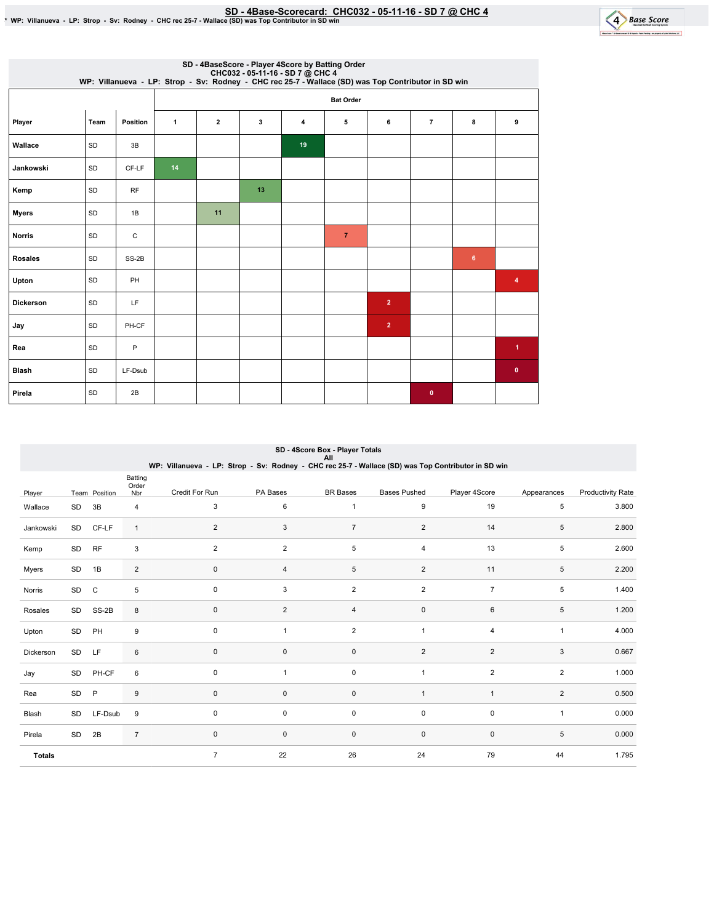SD-4Base-Scorecard:CHC032-05-11-16-SD7@ CHC4 \*WP:Villanueva-LP:Strop-Sv:Rodney-CHCrec25-7-Wallace(SD)wasTopContributorinSDwin



|                |           |          |              |                         |    |    | SD - 4BaseScore - Player 4Score by Batting Order<br>CHC032 - 05-11-16 - SD 7 @ CHC4<br>WP: Villanueva - LP: Strop - Sv: Rodney - CHC rec 25-7 - Wallace (SD) was Top Contributor in SD win |                |                |   |                         |
|----------------|-----------|----------|--------------|-------------------------|----|----|--------------------------------------------------------------------------------------------------------------------------------------------------------------------------------------------|----------------|----------------|---|-------------------------|
|                |           |          |              |                         |    |    | <b>Bat Order</b>                                                                                                                                                                           |                |                |   |                         |
| Player         | Team      | Position | $\mathbf{1}$ | $\overline{\mathbf{2}}$ | 3  | 4  | 5                                                                                                                                                                                          | 6              | $\overline{7}$ | 8 | 9                       |
| Wallace        | SD        | 3B       |              |                         |    | 19 |                                                                                                                                                                                            |                |                |   |                         |
| Jankowski      | SD        | CF-LF    | 14           |                         |    |    |                                                                                                                                                                                            |                |                |   |                         |
| Kemp           | SD        | RF       |              |                         | 13 |    |                                                                                                                                                                                            |                |                |   |                         |
| <b>Myers</b>   | SD        | 1B       |              | 11                      |    |    |                                                                                                                                                                                            |                |                |   |                         |
| <b>Norris</b>  | SD        | C        |              |                         |    |    | $\overline{7}$                                                                                                                                                                             |                |                |   |                         |
| <b>Rosales</b> | SD        | SS-2B    |              |                         |    |    |                                                                                                                                                                                            |                |                | 6 |                         |
| Upton          | SD        | PH       |              |                         |    |    |                                                                                                                                                                                            |                |                |   | $\overline{\mathbf{4}}$ |
| Dickerson      | SD        | LF       |              |                         |    |    |                                                                                                                                                                                            | $\overline{2}$ |                |   |                         |
| Jay            | <b>SD</b> | PH-CF    |              |                         |    |    |                                                                                                                                                                                            | $\overline{2}$ |                |   |                         |
| Rea            | SD        | P        |              |                         |    |    |                                                                                                                                                                                            |                |                |   | $\overline{1}$          |
| <b>Blash</b>   | SD        | LF-Dsub  |              |                         |    |    |                                                                                                                                                                                            |                |                |   | $\mathbf 0$             |
| Pirela         | SD        | 2B       |              |                         |    |    |                                                                                                                                                                                            |                | $\bullet$      |   |                         |

|               | SD - 4Score Box - Player Totals<br>All |               |                         |                                                                                                     |                |                 |                     |                |                |                          |  |  |  |
|---------------|----------------------------------------|---------------|-------------------------|-----------------------------------------------------------------------------------------------------|----------------|-----------------|---------------------|----------------|----------------|--------------------------|--|--|--|
|               |                                        |               |                         | WP: Villanueva - LP: Strop - Sv: Rodney - CHC rec 25-7 - Wallace (SD) was Top Contributor in SD win |                |                 |                     |                |                |                          |  |  |  |
| Player        |                                        | Team Position | Batting<br>Order<br>Nbr | Credit For Run                                                                                      | PA Bases       | <b>BR</b> Bases | <b>Bases Pushed</b> | Player 4Score  | Appearances    | <b>Productivity Rate</b> |  |  |  |
| Wallace       | SD                                     | 3B            | 4                       | 3                                                                                                   | 6              | $\mathbf{1}$    | 9                   | 19             | 5              | 3.800                    |  |  |  |
| Jankowski     |                                        | SD CF-LF      | $\mathbf{1}$            | 2                                                                                                   | 3              | $\overline{7}$  | $\overline{2}$      | 14             | 5              | 2.800                    |  |  |  |
| Kemp          | SD                                     | <b>RF</b>     | 3                       | $\overline{2}$                                                                                      | $\overline{2}$ | 5               | 4                   | 13             | 5              | 2.600                    |  |  |  |
| Myers         | SD                                     | 1B            | $\overline{c}$          | $\pmb{0}$                                                                                           | 4              | $\,$ 5 $\,$     | $\overline{2}$      | 11             | 5              | 2.200                    |  |  |  |
| Norris        | SD                                     | $\mathsf C$   | 5                       | $\mathbf 0$                                                                                         | 3              | $\overline{2}$  | $\overline{2}$      | $\overline{7}$ | 5              | 1.400                    |  |  |  |
| Rosales       | SD                                     | SS-2B         | 8                       | $\mathbf 0$                                                                                         | $\overline{2}$ | $\overline{4}$  | 0                   | 6              | 5              | 1.200                    |  |  |  |
| Upton         | SD                                     | PH            | 9                       | $\mathbf 0$                                                                                         | $\overline{1}$ | $\overline{2}$  | $\mathbf{1}$        | 4              | $\mathbf{1}$   | 4.000                    |  |  |  |
| Dickerson     | <b>SD</b>                              | <b>LF</b>     | 6                       | $\mathbf 0$                                                                                         | 0              | $\mathbf 0$     | $\overline{2}$      | 2              | 3              | 0.667                    |  |  |  |
| Jay           | SD                                     | PH-CF         | 6                       | $\mathbf 0$                                                                                         | 1              | $\pmb{0}$       | $\mathbf{1}$        | $\overline{2}$ | $\overline{2}$ | 1.000                    |  |  |  |
| Rea           | SD                                     | P             | 9                       | $\mathbf 0$                                                                                         | 0              | $\mathbf 0$     | $\mathbf{1}$        | $\overline{1}$ | $\overline{2}$ | 0.500                    |  |  |  |
| Blash         | SD                                     | LF-Dsub       | 9                       | $\mathbf 0$                                                                                         | 0              | 0               | 0                   | $\mathbf 0$    | $\mathbf{1}$   | 0.000                    |  |  |  |
| Pirela        | SD                                     | 2B            | $\overline{7}$          | $\pmb{0}$                                                                                           | 0              | $\pmb{0}$       | $\pmb{0}$           | $\mathbf 0$    | 5              | 0.000                    |  |  |  |
| <b>Totals</b> |                                        |               |                         | $\overline{7}$                                                                                      | 22             | 26              | 24                  | 79             | 44             | 1.795                    |  |  |  |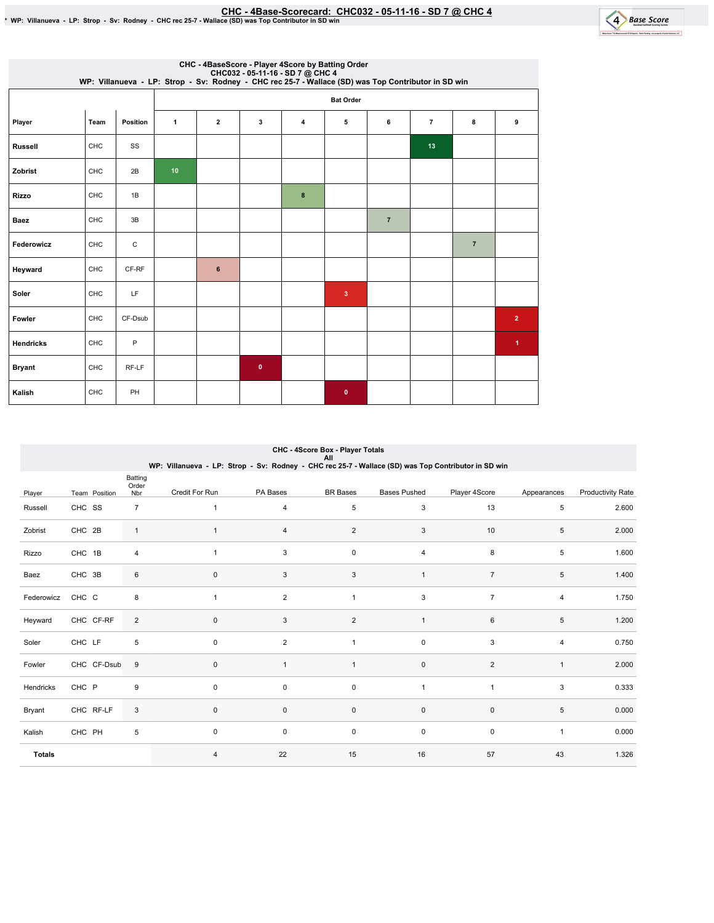EHC - 4Base-Scorecard: CHC032 - 05-11-16 - SD 7 @ CHC 4 \* % WP: Villanueva - LP: Strop - Sv: Rodney - CHC rec 25-7



|                  |            |          |              |                |           |                | CHC - 4BaseScore - Player 4Score by Batting Order<br>CHC032 - 05-11-16 - SD 7 @ CHC 4<br>WP: Villanueva - LP: Strop - Sv: Rodney - CHC rec 25-7 - Wallace (SD) was Top Contributor in SD win |                |                |                |                      |
|------------------|------------|----------|--------------|----------------|-----------|----------------|----------------------------------------------------------------------------------------------------------------------------------------------------------------------------------------------|----------------|----------------|----------------|----------------------|
|                  |            |          |              |                |           |                | <b>Bat Order</b>                                                                                                                                                                             |                |                |                |                      |
| Player           | Team       | Position | $\mathbf{1}$ | $\overline{2}$ | 3         | $\overline{4}$ | 5                                                                                                                                                                                            | 6              | $\overline{7}$ | 8              | 9                    |
| <b>Russell</b>   | CHC        | SS       |              |                |           |                |                                                                                                                                                                                              |                | 13             |                |                      |
| Zobrist          | <b>CHC</b> | 2B       | 10           |                |           |                |                                                                                                                                                                                              |                |                |                |                      |
| <b>Rizzo</b>     | CHC        | 1B       |              |                |           | 8              |                                                                                                                                                                                              |                |                |                |                      |
| Baez             | CHC        | 3B       |              |                |           |                |                                                                                                                                                                                              | $\overline{7}$ |                |                |                      |
| Federowicz       | <b>CHC</b> | C        |              |                |           |                |                                                                                                                                                                                              |                |                | $\overline{7}$ |                      |
| Heyward          | CHC        | CF-RF    |              | 6              |           |                |                                                                                                                                                                                              |                |                |                |                      |
| Soler            | CHC        | LF       |              |                |           |                | 3                                                                                                                                                                                            |                |                |                |                      |
| Fowler           | CHC        | CF-Dsub  |              |                |           |                |                                                                                                                                                                                              |                |                |                | $\overline{2}$       |
| <b>Hendricks</b> | CHC        | P        |              |                |           |                |                                                                                                                                                                                              |                |                |                | $\blacktriangleleft$ |
| <b>Bryant</b>    | CHC        | RF-LF    |              |                | $\bullet$ |                |                                                                                                                                                                                              |                |                |                |                      |
| Kalish           | CHC        | PH       |              |                |           |                | $\mathbf 0$                                                                                                                                                                                  |                |                |                |                      |

|               | CHC - 4Score Box - Player Totals<br>All |                         |                                                                                                     |                |                 |                     |                |              |                          |  |  |  |
|---------------|-----------------------------------------|-------------------------|-----------------------------------------------------------------------------------------------------|----------------|-----------------|---------------------|----------------|--------------|--------------------------|--|--|--|
|               |                                         |                         | WP: Villanueva - LP: Strop - Sv: Rodney - CHC rec 25-7 - Wallace (SD) was Top Contributor in SD win |                |                 |                     |                |              |                          |  |  |  |
| Player        | Team Position                           | Batting<br>Order<br>Nbr | Credit For Run                                                                                      | PA Bases       | <b>BR</b> Bases | <b>Bases Pushed</b> | Player 4Score  | Appearances  | <b>Productivity Rate</b> |  |  |  |
| Russell       | CHC SS                                  | $\overline{7}$          | $\mathbf{1}$                                                                                        | 4              | $\,$ 5 $\,$     | 3                   | 13             | 5            | 2.600                    |  |  |  |
| Zobrist       | CHC 2B                                  | $\mathbf{1}$            | $\mathbf{1}$                                                                                        | 4              | $\overline{2}$  | 3                   | 10             | 5            | 2.000                    |  |  |  |
| Rizzo         | CHC 1B                                  | 4                       | $\mathbf{1}$                                                                                        | 3              | $\mathsf 0$     | 4                   | 8              | 5            | 1.600                    |  |  |  |
| Baez          | CHC 3B                                  | 6                       | $\pmb{0}$                                                                                           | 3              | $\sqrt{3}$      | $\mathbf{1}$        | $\overline{7}$ | 5            | 1.400                    |  |  |  |
| Federowicz    | CHC C                                   | 8                       | $\mathbf{1}$                                                                                        | $\overline{c}$ | $\mathbf{1}$    | 3                   | $\overline{7}$ | 4            | 1.750                    |  |  |  |
| Heyward       | CHC CF-RF                               | $\overline{2}$          | $\pmb{0}$                                                                                           | 3              | $\overline{2}$  | $\mathbf{1}$        | 6              | 5            | 1.200                    |  |  |  |
| Soler         | CHC LF                                  | 5                       | $\mathbf 0$                                                                                         | $\overline{2}$ | $\mathbf{1}$    | 0                   | 3              | 4            | 0.750                    |  |  |  |
| Fowler        | CHC CF-Dsub                             | 9                       | $\pmb{0}$                                                                                           | $\mathbf{1}$   | $\mathbf{1}$    | $\pmb{0}$           | $\overline{2}$ | $\mathbf{1}$ | 2.000                    |  |  |  |
| Hendricks     | CHC P                                   | 9                       | $\mathbf 0$                                                                                         | 0              | 0               | $\mathbf{1}$        | $\overline{1}$ | 3            | 0.333                    |  |  |  |
| Bryant        | CHC RF-LF                               | 3                       | $\mathbf 0$                                                                                         | $\mathsf 0$    | $\mathsf 0$     | $\pmb{0}$           | $\pmb{0}$      | 5            | 0.000                    |  |  |  |
| Kalish        | CHC PH                                  | 5                       | $\mathbf 0$                                                                                         | 0              | $\mathsf 0$     | $\pmb{0}$           | $\pmb{0}$      | $\mathbf{1}$ | 0.000                    |  |  |  |
| <b>Totals</b> |                                         |                         | $\overline{4}$                                                                                      | 22             | 15              | 16                  | 57             | 43           | 1.326                    |  |  |  |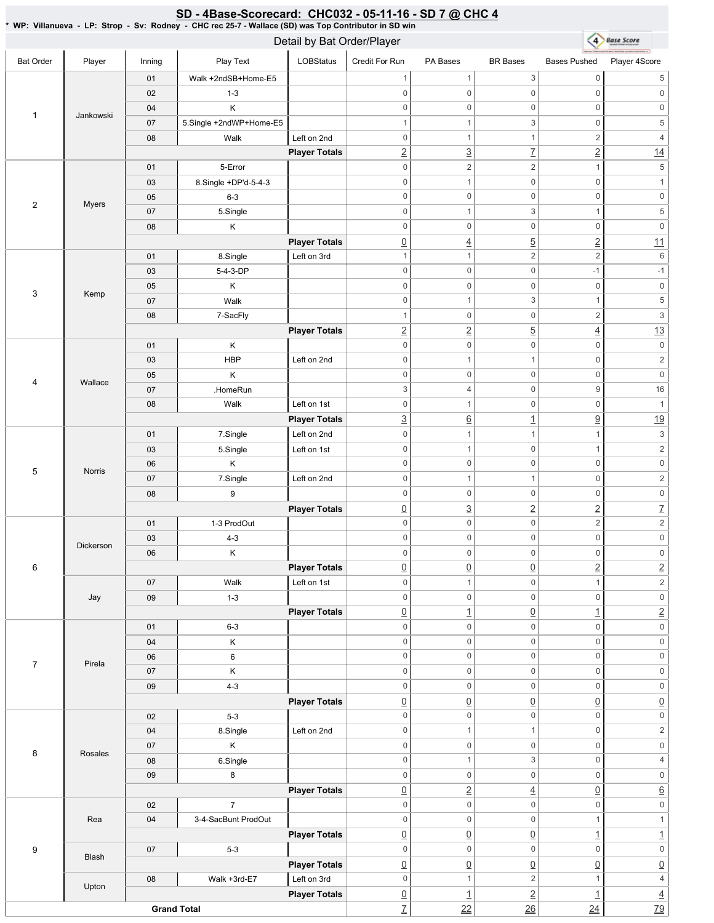## SD - 4Base-Scorecard: CHC032 - 05-11-16 - SD 7 @ CHC 4

\* WP: Villanueva-LP: Strop- Sv: Rodney- CHC rec 25-7 - Wallace (SD) was Top Contributor in SD win

|                  |              |        |                         | Detail by Bat Order/Player |                                |                                 |                                |                                 | 4 Base Score                     |
|------------------|--------------|--------|-------------------------|----------------------------|--------------------------------|---------------------------------|--------------------------------|---------------------------------|----------------------------------|
| <b>Bat Order</b> | Player       | Inning | Play Text               | <b>LOBStatus</b>           | Credit For Run                 | PA Bases                        | <b>BR</b> Bases                | <b>Bases Pushed</b>             | Player 4Score                    |
|                  |              | 01     | Walk +2ndSB+Home-E5     |                            | -1                             | $\mathbf{1}$                    | $\mathfrak{S}$                 | $\mathsf{O}\xspace$             | $\sqrt{5}$                       |
|                  |              | 02     | $1 - 3$                 |                            | $\mathsf 0$                    | $\mathsf{O}\xspace$             | $\mathsf{O}\xspace$            | $\mathbf 0$                     | $\,0\,$                          |
|                  |              | 04     | Κ                       |                            | $\mathbf 0$                    | $\mathsf{O}\xspace$             | $\mathsf 0$                    | $\mathbf 0$                     | $\,0\,$                          |
| $\mathbf{1}$     | Jankowski    | 07     | 5.Single +2ndWP+Home-E5 |                            | 1                              | $\mathbf{1}$                    | 3                              | $\mathsf{O}\xspace$             | $\,$ 5 $\,$                      |
|                  |              | 08     | Walk                    | Left on 2nd                | $\mathbf 0$                    | $\mathbf{1}$                    | $\mathbf{1}$                   | $\overline{c}$                  | $\sqrt{4}$                       |
|                  |              |        |                         | <b>Player Totals</b>       | $\underline{2}$                | $\overline{3}$                  | $\overline{1}$                 | $\overline{2}$                  | 14                               |
|                  |              | 01     | 5-Error                 |                            | $\mathbf 0$                    | $\overline{c}$                  | $\sqrt{2}$                     | $\mathbf{1}$                    | $\,$ 5 $\,$                      |
|                  |              | 03     | 8.Single +DP'd-5-4-3    |                            | $\boldsymbol{0}$               | $\mathbf{1}$                    | $\mathsf{O}\xspace$            | $\mathbf 0$                     | $\mathbf{1}$                     |
| $\sqrt{2}$       | <b>Myers</b> | 05     | $6 - 3$                 |                            | $\mathsf 0$                    | $\mathsf{O}\xspace$             | $\mathsf 0$                    | $\mathbf 0$                     | $\mathsf{O}\xspace$              |
|                  |              | 07     | 5.Single                |                            | $\mathsf 0$                    | $\mathbf{1}$                    | 3                              | $\mathbf{1}$                    | $\,$ 5 $\,$                      |
|                  |              | 08     | Κ                       |                            | $\mathsf 0$                    | $\mathsf{O}\xspace$             | $\mathsf 0$                    | $\mathbf 0$                     | $\mathsf{O}\xspace$              |
|                  |              |        |                         | <b>Player Totals</b>       | $\underline{0}$                | $\overline{4}$                  | $\overline{5}$                 | $\underline{2}$                 | 11                               |
|                  |              | 01     | 8.Single                | Left on 3rd                | $\overline{1}$                 | $\mathbf{1}$                    | $\overline{c}$                 | $\sqrt{2}$                      | 6                                |
|                  |              | 03     | 5-4-3-DP                |                            | $\mathbf 0$                    | $\mathsf 0$                     | $\mathbf 0$                    | $-1$                            | $-1$                             |
| 3                | Kemp         | 05     | Κ                       |                            | $\mathbf 0$                    | $\mathsf{O}\xspace$             | $\mathsf{O}\xspace$            | $\mathbf 0$                     | $\mathsf 0$                      |
|                  |              | 07     | Walk                    |                            | $\mathsf 0$                    | $\mathbf{1}$                    | 3                              | $\mathbf{1}$                    | $\,$ 5 $\,$                      |
|                  |              | 08     | 7-SacFly                |                            | 1                              | $\mathbf 0$                     | $\mathsf 0$                    | $\overline{c}$                  | $\ensuremath{\mathsf{3}}$        |
|                  |              |        |                         | <b>Player Totals</b>       | $\underline{2}$                | $\overline{2}$                  | $\overline{5}$                 | $\underline{4}$                 | 13                               |
|                  |              | 01     | Κ                       |                            | $\mathsf 0$                    | $\mathsf{O}\xspace$             | $\mathsf 0$                    | $\mathsf{O}\xspace$             | $\mathsf{0}$                     |
|                  |              | 03     | <b>HBP</b>              | Left on 2nd                | $\mathsf 0$                    | $\mathbf{1}$                    | $\mathbf{1}$                   | $\mathsf{O}\xspace$             | $\sqrt{2}$                       |
| $\overline{4}$   | Wallace      | 05     | Κ                       |                            | $\boldsymbol{0}$               | $\mathsf{O}\xspace$             | $\mathsf 0$                    | $\mathbf 0$                     | $\mathsf{O}\xspace$              |
|                  |              | 07     | .HomeRun                |                            | 3                              | $\overline{4}$                  | $\mathsf 0$                    | $\boldsymbol{9}$                | 16                               |
|                  |              | 08     | Walk                    | Left on 1st                | $\mathbf 0$                    | $\mathbf{1}$                    | $\mathsf 0$                    | $\mathsf{O}\xspace$             | $\mathbf{1}$                     |
|                  |              |        |                         | <b>Player Totals</b>       | $\underline{3}$                | $\underline{6}$                 | $\overline{1}$                 | $\underline{9}$                 | 19                               |
|                  |              | 01     | 7.Single                | Left on 2nd                | $\mathbf 0$                    | $\mathbf{1}$                    | $\mathbf{1}$                   | $\mathbf{1}$                    | $\ensuremath{\mathsf{3}}$        |
|                  |              | 03     | 5.Single                | Left on 1st                | $\mathsf 0$                    | $\mathbf{1}$                    | $\mathsf{O}\xspace$            | $\mathbf{1}$                    | $\sqrt{2}$                       |
| 5                | Norris       | 06     | Κ                       |                            | $\mathsf 0$                    | $\mathsf{O}\xspace$             | $\mathsf 0$                    | $\mathbf 0$                     | $\mathsf{O}\xspace$              |
|                  |              | 07     | 7.Single                | Left on 2nd                | $\mathsf 0$                    | $\mathbf{1}$                    | $\mathbf{1}$                   | $\mathbf 0$                     | $\sqrt{2}$                       |
|                  |              | 08     | 9                       |                            | $\mathsf 0$                    | $\mathbf 0$                     | $\mathbf 0$                    | $\mathsf{O}\xspace$             | $\mathsf{O}\xspace$              |
|                  |              |        |                         | <b>Player Totals</b>       | $\underline{0}$<br>$\mathsf 0$ | $\overline{3}$<br>$\mathsf 0$   | $\overline{2}$<br>$\mathbf 0$  | $\underline{2}$<br>$\sqrt{2}$   | $\overline{1}$<br>$\overline{2}$ |
|                  |              | 01     | 1-3 ProdOut             |                            | $\mathsf 0$                    | $\mathbf 0$                     | $\mathsf 0$                    | $\mathsf{O}\xspace$             | $\mathsf{O}\xspace$              |
|                  | Dickerson    | 03     | $4 - 3$                 |                            | $\mathbf 0$                    | $\mathsf{O}\xspace$             | $\mathsf 0$                    | $\mathbf 0$                     | $\mathbf 0$                      |
| $\,6\,$          |              | 06     | Κ                       | <b>Player Totals</b>       |                                |                                 |                                |                                 |                                  |
|                  |              | $07\,$ | Walk                    | Left on 1st                | $\underline{0}$<br>$\mathbf 0$ | $\underline{0}$<br>$\mathbf{1}$ | $\underline{0}$<br>$\mathbf 0$ | $\underline{2}$<br>$\mathbf{1}$ | $\frac{2}{2}$                    |
|                  | Jay          | 09     | $1 - 3$                 |                            | $\mathbf 0$                    | $\mathsf{O}\xspace$             | $\mathsf{O}\xspace$            | $\mathsf{O}\xspace$             | $\mathsf{O}\xspace$              |
|                  |              |        |                         | <b>Player Totals</b>       | $\underline{0}$                | $\overline{1}$                  | $\underline{0}$                | $\overline{1}$                  | $\overline{2}$                   |
|                  |              | 01     | $6 - 3$                 |                            | $\mathsf{O}\xspace$            | $\mathsf{O}\xspace$             | $\mathsf 0$                    | $\mathsf{O}$                    | $\mathsf{O}\xspace$              |
|                  |              | 04     | Κ                       |                            | $\mathbf 0$                    | $\mathsf{O}\xspace$             | $\mathbf 0$                    | $\mathsf{O}\xspace$             | $\mathsf{O}\xspace$              |
|                  |              | 06     | 6                       |                            | $\mathsf 0$                    | $\mathsf{O}\xspace$             | $\mathsf 0$                    | $\mathbf 0$                     | $\mathsf{O}\xspace$              |
| $\overline{7}$   | Pirela       | 07     | Κ                       |                            | $\boldsymbol{0}$               | $\mathsf{O}\xspace$             | $\mathsf 0$                    | $\mathsf{O}\xspace$             | $\mathsf{O}\xspace$              |
|                  |              | 09     | $4 - 3$                 |                            | $\mathbf 0$                    | $\mathsf{O}\xspace$             | $\mathsf 0$                    | $\mathsf{O}\xspace$             | $\mathsf{0}$                     |
|                  |              |        |                         | <b>Player Totals</b>       | $\underline{0}$                | $\underline{0}$                 | $\underline{0}$                | $\underline{0}$                 | $\underline{0}$                  |
|                  |              | 02     | $5-3$                   |                            | $\mathbf 0$                    | $\mathsf{O}\xspace$             | $\mathbf 0$                    | $\mathsf{O}\xspace$             | $\overline{\mathbf{0}}$          |
|                  |              | 04     | 8.Single                | Left on 2nd                | $\mathsf 0$                    | $\mathbf{1}$                    | $\mathbf{1}$                   | $\mathsf{O}\xspace$             | $\sqrt{2}$                       |
|                  |              | 07     | Κ                       |                            | $\mathbf 0$                    | $\mathsf{O}\xspace$             | $\mathsf 0$                    | $\mathsf{O}\xspace$             | $\mathsf{O}\xspace$              |
| 8                | Rosales      | 08     | 6.Single                |                            | $\mathsf{O}\xspace$            | $\mathbf{1}$                    | $\mathfrak{S}$                 | $\mathsf{O}\xspace$             | $\overline{4}$                   |
|                  |              | 09     | 8                       |                            | $\mathbf 0$                    | $\mathsf{O}\xspace$             | $\mathsf{O}\xspace$            | $\mathsf{O}\xspace$             | $\mathsf{O}\xspace$              |
|                  |              |        |                         | <b>Player Totals</b>       | $\underline{0}$                | $\overline{2}$                  | $\overline{4}$                 | $\underline{0}$                 | $\underline{6}$                  |
|                  |              | 02     | $\overline{7}$          |                            | $\mathbf 0$                    | $\mathsf{O}\xspace$             | $\mathsf{O}\xspace$            | $\mathbf 0$                     | $\mathsf{O}\xspace$              |
|                  | Rea          | 04     | 3-4-SacBunt ProdOut     |                            | $\mathbf 0$                    | $\mathsf{O}\xspace$             | $\mathsf{O}\xspace$            | $\mathbf{1}$                    | $\mathbf{1}$                     |
|                  |              |        |                         | <b>Player Totals</b>       | $\underline{0}$                | $\underline{0}$                 | $\underline{0}$                | $\overline{1}$                  | $\underline{\mathbf{1}}$         |
| 9                |              | 07     | $5-3$                   |                            | $\mathbf 0$                    | $\mathsf{O}\xspace$             | $\mathbf 0$                    | $\mathbf 0$                     | $\overline{\mathbf{0}}$          |
|                  | Blash        |        |                         | <b>Player Totals</b>       | $\underline{0}$                | $\underline{0}$                 | $\underline{0}$                | $\underline{0}$                 | $\underline{0}$                  |
|                  |              | 08     | Walk +3rd-E7            | Left on 3rd                | $\mathbf 0$                    | $\mathbf{1}$                    | $\overline{c}$                 | $\mathbf{1}$                    | $\overline{4}$                   |
|                  | Upton        |        |                         | <b>Player Totals</b>       | $\underline{0}$                | $\overline{1}$                  | $\underline{2}$                | $\underline{\mathbf{1}}$        | $\overline{4}$                   |
|                  |              |        | <b>Grand Total</b>      |                            | $\overline{1}$                 | 22                              | $\overline{26}$                | 24                              | $\overline{79}$                  |